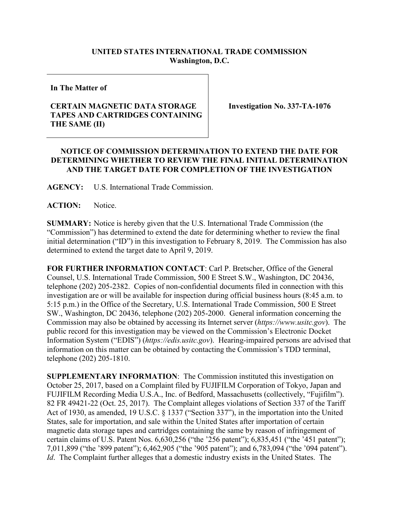## **UNITED STATES INTERNATIONAL TRADE COMMISSION Washington, D.C.**

**In The Matter of**

## **CERTAIN MAGNETIC DATA STORAGE TAPES AND CARTRIDGES CONTAINING THE SAME (II)**

**Investigation No. 337-TA-1076**

## **NOTICE OF COMMISSION DETERMINATION TO EXTEND THE DATE FOR DETERMINING WHETHER TO REVIEW THE FINAL INITIAL DETERMINATION AND THE TARGET DATE FOR COMPLETION OF THE INVESTIGATION**

**AGENCY:** U.S. International Trade Commission.

**ACTION:** Notice.

**SUMMARY:** Notice is hereby given that the U.S. International Trade Commission (the "Commission") has determined to extend the date for determining whether to review the final initial determination ("ID") in this investigation to February 8, 2019. The Commission has also determined to extend the target date to April 9, 2019.

**FOR FURTHER INFORMATION CONTACT**: Carl P. Bretscher, Office of the General Counsel, U.S. International Trade Commission, 500 E Street S.W., Washington, DC 20436, telephone (202) 205-2382. Copies of non-confidential documents filed in connection with this investigation are or will be available for inspection during official business hours (8:45 a.m. to 5:15 p.m.) in the Office of the Secretary, U.S. International Trade Commission, 500 E Street SW., Washington, DC 20436, telephone (202) 205-2000. General information concerning the Commission may also be obtained by accessing its Internet server (*https://www.usitc.gov*). The public record for this investigation may be viewed on the Commission's Electronic Docket Information System ("EDIS") (*https://edis.usitc.gov*). Hearing-impaired persons are advised that information on this matter can be obtained by contacting the Commission's TDD terminal, telephone (202) 205-1810.

**SUPPLEMENTARY INFORMATION**: The Commission instituted this investigation on October 25, 2017, based on a Complaint filed by FUJIFILM Corporation of Tokyo, Japan and FUJIFILM Recording Media U.S.A., Inc. of Bedford, Massachusetts (collectively, "Fujifilm"). 82 FR 49421-22 (Oct. 25, 2017). The Complaint alleges violations of Section 337 of the Tariff Act of 1930, as amended, 19 U.S.C. § 1337 ("Section 337"), in the importation into the United States, sale for importation, and sale within the United States after importation of certain magnetic data storage tapes and cartridges containing the same by reason of infringement of certain claims of U.S. Patent Nos. 6,630,256 ("the '256 patent"); 6,835,451 ("the '451 patent"); 7,011,899 ("the '899 patent"); 6,462,905 ("the '905 patent"); and 6,783,094 ("the '094 patent"). *Id*. The Complaint further alleges that a domestic industry exists in the United States. The